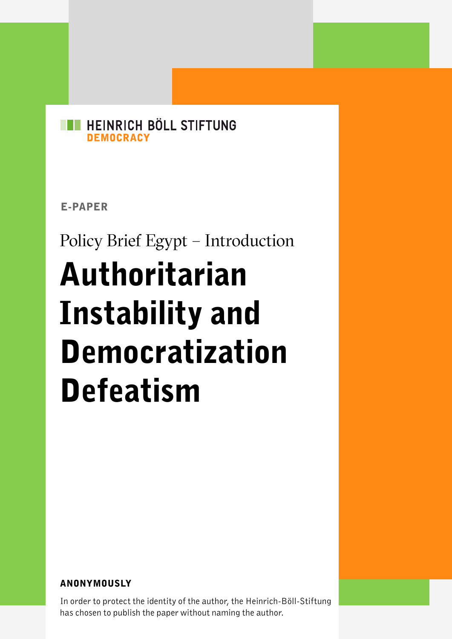#### HEINRICH BÖLL STIFTUNG **DEMOCRACY**

E-PAPER

# Policy Brief Egypt – Introduction Authoritarian Instability and Democratization Defeatism

#### ANONYMOUSLY

In order to protect the identity of the author, the Heinrich-Böll-Stiftung has chosen to publish the paper without naming the author.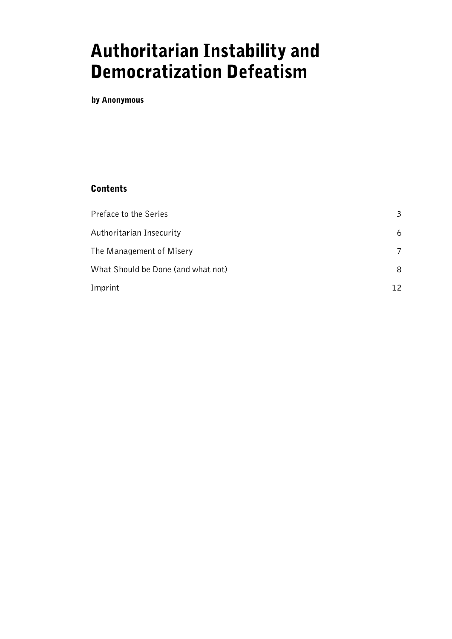# Authoritarian Instability and Democratization Defeatism

by Anonymous

#### Contents

| Preface to the Series              | 3  |
|------------------------------------|----|
| Authoritarian Insecurity           | 6  |
| The Management of Misery           | 7  |
| What Should be Done (and what not) | 8  |
| Imprint                            | 12 |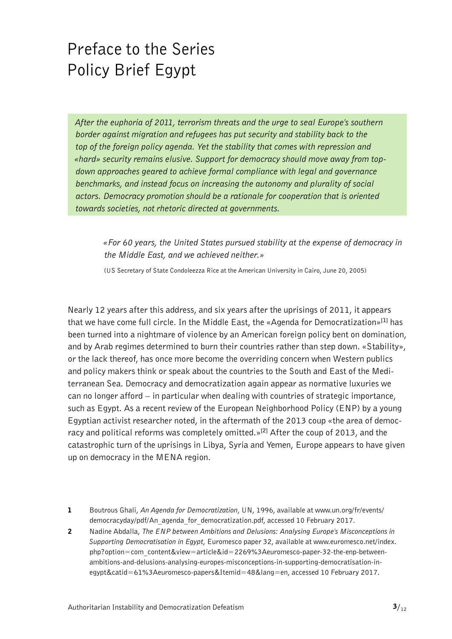# <span id="page-2-0"></span>Preface to the Series Policy Brief Egypt

*After the euphoria of 2011, terrorism threats and the urge to seal Europe's southern border against migration and refugees has put security and stability back to the top of the foreign policy agenda. Yet the stability that comes with repression and «hard» security remains elusive. Support for democracy should move away from topdown approaches geared to achieve formal compliance with legal and governance benchmarks, and instead focus on increasing the autonomy and plurality of social actors. Democracy promotion should be a rationale for cooperation that is oriented towards societies, not rhetoric directed at governments.*

*«For 60 years, the United States pursued stability at the expense of democracy in the Middle East, and we achieved neither.»*

(US Secretary of State Condoleezza Rice at the American University in Cairo, June 20, 2005)

Nearly 12 years after this address, and six years after the uprisings of 2011, it appears that we have come full circle. In the Middle East, the «Agenda for Democratization»**[1]** has been turned into a nightmare of violence by an American foreign policy bent on domination, and by Arab regimes determined to burn their countries rather than step down. «Stability», or the lack thereof, has once more become the overriding concern when Western publics and policy makers think or speak about the countries to the South and East of the Mediterranean Sea. Democracy and democratization again appear as normative luxuries we can no longer afford – in particular when dealing with countries of strategic importance, such as Egypt. As a recent review of the European Neighborhood Policy (ENP) by a young Egyptian activist researcher noted, in the aftermath of the 2013 coup «the area of democracy and political reforms was completely omitted.»**[2]** After the coup of 2013, and the catastrophic turn of the uprisings in Libya, Syria and Yemen, Europe appears to have given up on democracy in the MENA region.

- 1 Boutrous Ghali, *An Agenda for Democratization*, UN, 1996, available at [www.un.org/fr/events/](http://www.un.org/fr/events/democracyday/pdf/An_agenda_for_democratization.pdf) [democracyday/pdf/An\\_agenda\\_for\\_democratization.pdf,](http://www.un.org/fr/events/democracyday/pdf/An_agenda_for_democratization.pdf) accessed 10 February 2017.
- 2 Nadine Abdalla, *The ENP between Ambitions and Delusions: Analysing Europe's Misconceptions in Supporting Democratisation in Egypt*, Euromesco paper 32, available at [www.euromesco.net/index.](http://www.euromesco.net/index.php?option=com_content&view=article&id=2269%3Aeuromesco-paper-32-the-enp-between-ambitions-and-delusions-analysing-europes-misconceptions-in-supporting-democratisation-in-egypt&catid=61%3Aeuromesco-papers&Itemid=48&lang=en) [php?option=com\\_content&view=article&id=2269%3Aeuromesco-paper-32-the-enp-between](http://www.euromesco.net/index.php?option=com_content&view=article&id=2269%3Aeuromesco-paper-32-the-enp-between-ambitions-and-delusions-analysing-europes-misconceptions-in-supporting-democratisation-in-egypt&catid=61%3Aeuromesco-papers&Itemid=48&lang=en)[ambitions-and-delusions-analysing-europes-misconceptions-in-supporting-democratisation-in](http://www.euromesco.net/index.php?option=com_content&view=article&id=2269%3Aeuromesco-paper-32-the-enp-between-ambitions-and-delusions-analysing-europes-misconceptions-in-supporting-democratisation-in-egypt&catid=61%3Aeuromesco-papers&Itemid=48&lang=en)[egypt&catid=61%3Aeuromesco-papers&Itemid=48&lang=en](http://www.euromesco.net/index.php?option=com_content&view=article&id=2269%3Aeuromesco-paper-32-the-enp-between-ambitions-and-delusions-analysing-europes-misconceptions-in-supporting-democratisation-in-egypt&catid=61%3Aeuromesco-papers&Itemid=48&lang=en), accessed 10 February 2017.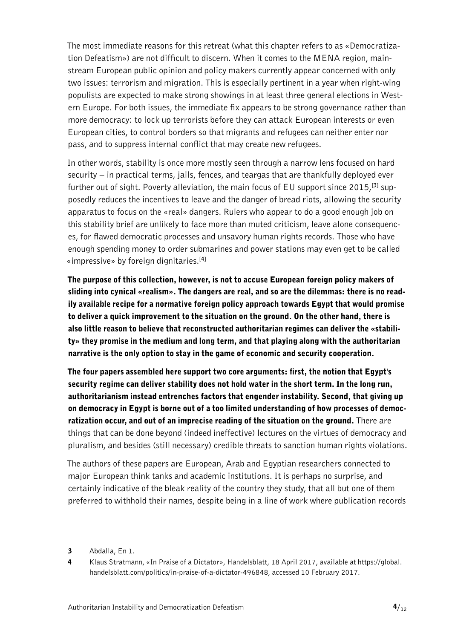The most immediate reasons for this retreat (what this chapter refers to as «Democratization Defeatism») are not difficult to discern. When it comes to the MENA region, mainstream European public opinion and policy makers currently appear concerned with only two issues: terrorism and migration. This is especially pertinent in a year when right-wing populists are expected to make strong showings in at least three general elections in Western Europe. For both issues, the immediate fix appears to be strong governance rather than more democracy: to lock up terrorists before they can attack European interests or even European cities, to control borders so that migrants and refugees can neither enter nor pass, and to suppress internal conflict that may create new refugees.

In other words, stability is once more mostly seen through a narrow lens focused on hard security – in practical terms, jails, fences, and teargas that are thankfully deployed ever further out of sight. Poverty alleviation, the main focus of EU support since 2015,**[3]** supposedly reduces the incentives to leave and the danger of bread riots, allowing the security apparatus to focus on the «real» dangers. Rulers who appear to do a good enough job on this stability brief are unlikely to face more than muted criticism, leave alone consequences, for flawed democratic processes and unsavory human rights records. Those who have enough spending money to order submarines and power stations may even get to be called «impressive» by foreign dignitaries.**[4]**

The purpose of this collection, however, is not to accuse European foreign policy makers of sliding into cynical «realism». The dangers are real, and so are the dilemmas: there is no readily available recipe for a normative foreign policy approach towards Egypt that would promise to deliver a quick improvement to the situation on the ground. On the other hand, there is also little reason to believe that reconstructed authoritarian regimes can deliver the «stability» they promise in the medium and long term, and that playing along with the authoritarian narrative is the only option to stay in the game of economic and security cooperation.

The four papers assembled here support two core arguments: first, the notion that Egypt's security regime can deliver stability does not hold water in the short term. In the long run, authoritarianism instead entrenches factors that engender instability. Second, that giving up on democracy in Egypt is borne out of a too limited understanding of how processes of democratization occur, and out of an imprecise reading of the situation on the ground. There are things that can be done beyond (indeed ineffective) lectures on the virtues of democracy and pluralism, and besides (still necessary) credible threats to sanction human rights violations.

The authors of these papers are European, Arab and Egyptian researchers connected to major European think tanks and academic institutions. It is perhaps no surprise, and certainly indicative of the bleak reality of the country they study, that all but one of them preferred to withhold their names, despite being in a line of work where publication records

- 3 Abdalla, En 1.
- 4 Klaus Stratmann, «In Praise of a Dictator», Handelsblatt, 18 April 2017, available at [https://global.](https://global.handelsblatt.com/politics/in-praise-of-a-dictator-496848) [handelsblatt.com/politics/in-praise-of-a-dictator-496848](https://global.handelsblatt.com/politics/in-praise-of-a-dictator-496848), accessed 10 February 2017.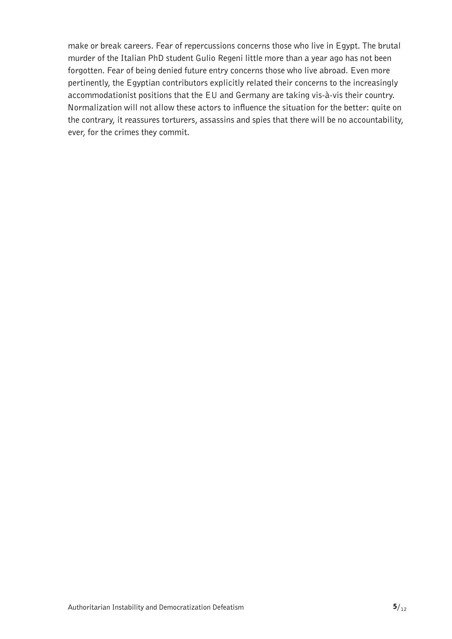make or break careers. Fear of repercussions concerns those who live in Egypt. The brutal murder of the Italian PhD student Gulio Regeni little more than a year ago has not been forgotten. Fear of being denied future entry concerns those who live abroad. Even more pertinently, the Egyptian contributors explicitly related their concerns to the increasingly accommodationist positions that the EU and Germany are taking vis-à-vis their country. Normalization will not allow these actors to influence the situation for the better: quite on the contrary, it reassures torturers, assassins and spies that there will be no accountability, ever, for the crimes they commit.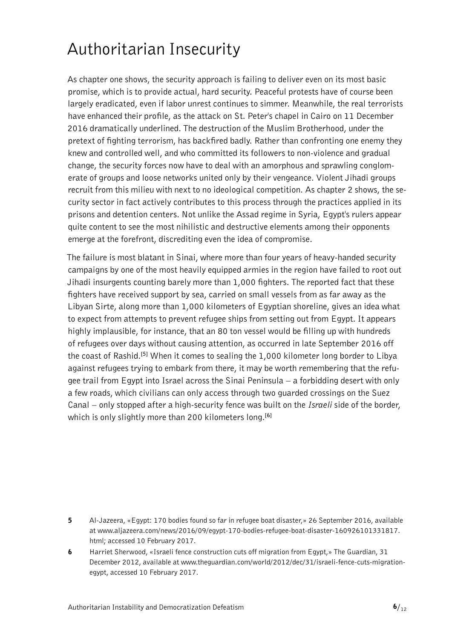## <span id="page-5-0"></span>Authoritarian Insecurity

As chapter one shows, the security approach is failing to deliver even on its most basic promise, which is to provide actual, hard security. Peaceful protests have of course been largely eradicated, even if labor unrest continues to simmer. Meanwhile, the real terrorists have enhanced their profile, as the attack on St. Peter's chapel in Cairo on 11 December 2016 dramatically underlined. The destruction of the Muslim Brotherhood, under the pretext of fighting terrorism, has backfired badly. Rather than confronting one enemy they knew and controlled well, and who committed its followers to non-violence and gradual change, the security forces now have to deal with an amorphous and sprawling conglomerate of groups and loose networks united only by their vengeance. Violent Jihadi groups recruit from this milieu with next to no ideological competition. As chapter 2 shows, the security sector in fact actively contributes to this process through the practices applied in its prisons and detention centers. Not unlike the Assad regime in Syria, Egypt's rulers appear quite content to see the most nihilistic and destructive elements among their opponents emerge at the forefront, discrediting even the idea of compromise.

The failure is most blatant in Sinai, where more than four years of heavy-handed security campaigns by one of the most heavily equipped armies in the region have failed to root out Jihadi insurgents counting barely more than 1,000 fighters. The reported fact that these fighters have received support by sea, carried on small vessels from as far away as the Libyan Sirte, along more than 1,000 kilometers of Egyptian shoreline, gives an idea what to expect from attempts to prevent refugee ships from setting out from Egypt. It appears highly implausible, for instance, that an 80 ton vessel would be filling up with hundreds of refugees over days without causing attention, as occurred in late September 2016 off the coast of Rashid.**[5]** When it comes to sealing the 1,000 kilometer long border to Libya against refugees trying to embark from there, it may be worth remembering that the refugee trail from Egypt into Israel across the Sinai Peninsula – a forbidding desert with only a few roads, which civilians can only access through two guarded crossings on the Suez Canal – only stopped after a high-security fence was built on the *Israeli* side of the border, which is only slightly more than 200 kilometers long.**[6]**

- 5 Al-Jazeera, «Egypt: 170 bodies found so far in refugee boat disaster,» 26 September 2016, available at [www.aljazeera.com/news/2016/09/egypt-170-bodies-refugee-boat-disaster-160926101331817.](http://www.aljazeera.com/news/2016/09/egypt-170-bodies-refugee-boat-disaster-160926101331817.html) [html;](http://www.aljazeera.com/news/2016/09/egypt-170-bodies-refugee-boat-disaster-160926101331817.html) accessed 10 February 2017.
- 6 Harriet Sherwood, «Israeli fence construction cuts off migration from Egypt,» The Guardian, 31 December 2012, available at [www.theguardian.com/world/2012/dec/31/israeli-fence-cuts-migration](http://www.theguardian.com/world/2012/dec/31/israeli-fence-cuts-migration-egypt)[egypt](http://www.theguardian.com/world/2012/dec/31/israeli-fence-cuts-migration-egypt), accessed 10 February 2017.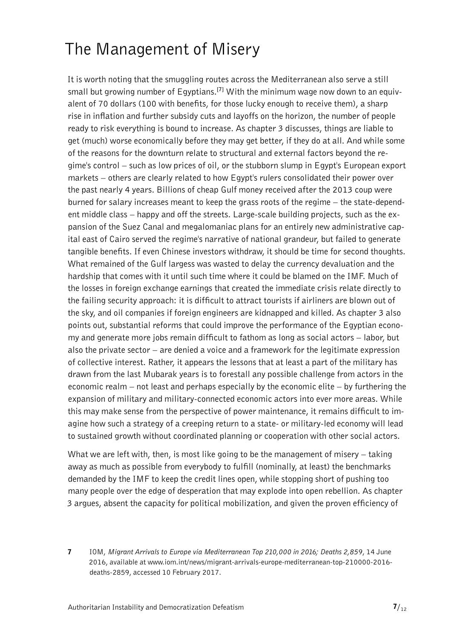## <span id="page-6-0"></span>The Management of Misery

It is worth noting that the smuggling routes across the Mediterranean also serve a still small but growing number of Egyptians.**[7]** With the minimum wage now down to an equivalent of 70 dollars (100 with benefits, for those lucky enough to receive them), a sharp rise in inflation and further subsidy cuts and layoffs on the horizon, the number of people ready to risk everything is bound to increase. As chapter 3 discusses, things are liable to get (much) worse economically before they may get better, if they do at all. And while some of the reasons for the downturn relate to structural and external factors beyond the regime's control – such as low prices of oil, or the stubborn slump in Egypt's European export markets – others are clearly related to how Egypt's rulers consolidated their power over the past nearly 4 years. Billions of cheap Gulf money received after the 2013 coup were burned for salary increases meant to keep the grass roots of the regime – the state-dependent middle class – happy and off the streets. Large-scale building projects, such as the expansion of the Suez Canal and megalomaniac plans for an entirely new administrative capital east of Cairo served the regime's narrative of national grandeur, but failed to generate tangible benefits. If even Chinese investors withdraw, it should be time for second thoughts. What remained of the Gulf largess was wasted to delay the currency devaluation and the hardship that comes with it until such time where it could be blamed on the IMF. Much of the losses in foreign exchange earnings that created the immediate crisis relate directly to the failing security approach: it is difficult to attract tourists if airliners are blown out of the sky, and oil companies if foreign engineers are kidnapped and killed. As chapter 3 also points out, substantial reforms that could improve the performance of the Egyptian economy and generate more jobs remain difficult to fathom as long as social actors – labor, but also the private sector – are denied a voice and a framework for the legitimate expression of collective interest. Rather, it appears the lessons that at least a part of the military has drawn from the last Mubarak years is to forestall any possible challenge from actors in the economic realm – not least and perhaps especially by the economic elite – by furthering the expansion of military and military-connected economic actors into ever more areas. While this may make sense from the perspective of power maintenance, it remains difficult to imagine how such a strategy of a creeping return to a state- or military-led economy will lead to sustained growth without coordinated planning or cooperation with other social actors.

What we are left with, then, is most like going to be the management of misery – taking away as much as possible from everybody to fulfill (nominally, at least) the benchmarks demanded by the IMF to keep the credit lines open, while stopping short of pushing too many people over the edge of desperation that may explode into open rebellion. As chapter 3 argues, absent the capacity for political mobilization, and given the proven efficiency of

7 IOM, *Migrant Arrivals to Europe via Mediterranean Top 210,000 in 2016; Deaths 2,859*, 14 June 2016, available at [www.iom.int/news/migrant-arrivals-europe-mediterranean-top-210000-2016](http://www.iom.int/news/migrant-arrivals-europe-mediterranean-top-210000-2016-deaths-2859) [deaths-2859](http://www.iom.int/news/migrant-arrivals-europe-mediterranean-top-210000-2016-deaths-2859), accessed 10 February 2017.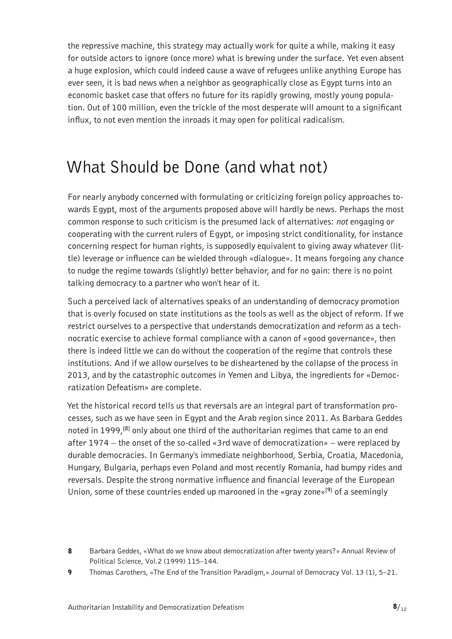<span id="page-7-0"></span>the repressive machine, this strategy may actually work for quite a while, making it easy for outside actors to ignore (once more) what is brewing under the surface. Yet even absent a huge explosion, which could indeed cause a wave of refugees unlike anything Europe has ever seen, it is bad news when a neighbor as geographically close as Egypt turns into an economic basket case that offers no future for its rapidly growing, mostly young population. Out of 100 million, even the trickle of the most desperate will amount to a significant influx, to not even mention the inroads it may open for political radicalism.

## What Should be Done (and what not)

For nearly anybody concerned with formulating or criticizing foreign policy approaches towards Egypt, most of the arguments proposed above will hardly be news. Perhaps the most common response to such criticism is the presumed lack of alternatives: *not* engaging or cooperating with the current rulers of Egypt, or imposing strict conditionality, for instance concerning respect for human rights, is supposedly equivalent to giving away whatever (little) leverage or influence can be wielded through «dialogue». It means forgoing any chance to nudge the regime towards (slightly) better behavior, and for no gain: there is no point talking democracy to a partner who won't hear of it.

Such a perceived lack of alternatives speaks of an understanding of democracy promotion that is overly focused on state institutions as the tools as well as the object of reform. If we restrict ourselves to a perspective that understands democratization and reform as a technocratic exercise to achieve formal compliance with a canon of «good governance», then there is indeed little we can do without the cooperation of the regime that controls these institutions. And if we allow ourselves to be disheartened by the collapse of the process in 2013, and by the catastrophic outcomes in Yemen and Libya, the ingredients for «Democratization Defeatism» are complete.

Yet the historical record tells us that reversals are an integral part of transformation processes, such as we have seen in Egypt and the Arab region since 2011. As Barbara Geddes noted in 1999,**[8]** only about one third of the authoritarian regimes that came to an end after 1974 – the onset of the so-called «3rd wave of democratization» – were replaced by durable democracies. In Germany's immediate neighborhood, Serbia, Croatia, Macedonia, Hungary, Bulgaria, perhaps even Poland and most recently Romania, had bumpy rides and reversals. Despite the strong normative influence and financial leverage of the European Union, some of these countries ended up marooned in the «gray zone»**[9]** of a seemingly

<sup>8</sup> Barbara Geddes, «What do we know about democratization after twenty years?» Annual Review of Political Science, Vol.2 (1999) 115–144.

<sup>9</sup> Thomas Carothers, «The End of the Transition Paradigm,» Journal of Democracy Vol. 13 (1), 5–21.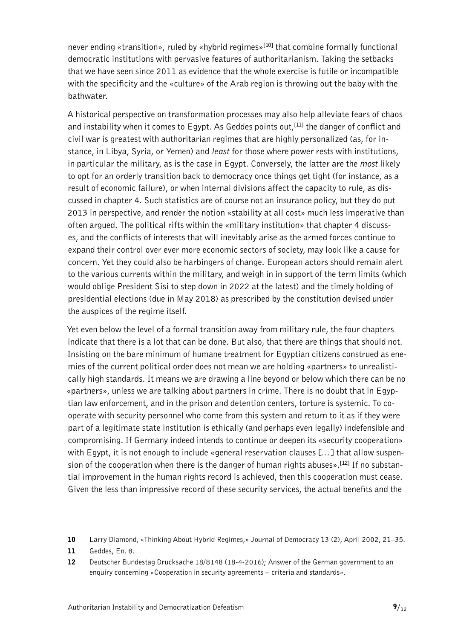never ending «transition», ruled by «hybrid regimes»**[10]** that combine formally functional democratic institutions with pervasive features of authoritarianism. Taking the setbacks that we have seen since 2011 as evidence that the whole exercise is futile or incompatible with the specificity and the «culture» of the Arab region is throwing out the baby with the bathwater.

A historical perspective on transformation processes may also help alleviate fears of chaos and instability when it comes to Egypt. As Geddes points out,**[11]** the danger of conflict and civil war is greatest with authoritarian regimes that are highly personalized (as, for instance, in Libya, Syria, or Yemen) and *least* for those where power rests with institutions, in particular the military, as is the case in Egypt. Conversely, the latter are the *most* likely to opt for an orderly transition back to democracy once things get tight (for instance, as a result of economic failure), or when internal divisions affect the capacity to rule, as discussed in chapter 4. Such statistics are of course not an insurance policy, but they do put 2013 in perspective, and render the notion «stability at all cost» much less imperative than often argued. The political rifts within the «military institution» that chapter 4 discusses, and the conflicts of interests that will inevitably arise as the armed forces continue to expand their control over ever more economic sectors of society, may look like a cause for concern. Yet they could also be harbingers of change. European actors should remain alert to the various currents within the military, and weigh in in support of the term limits (which would oblige President Sisi to step down in 2022 at the latest) and the timely holding of presidential elections (due in May 2018) as prescribed by the constitution devised under the auspices of the regime itself.

Yet even below the level of a formal transition away from military rule, the four chapters indicate that there is a lot that can be done. But also, that there are things that should not. Insisting on the bare minimum of humane treatment for Egyptian citizens construed as enemies of the current political order does not mean we are holding «partners» to unrealistically high standards. It means we are drawing a line beyond or below which there can be no «partners», unless we are talking about partners in crime. There is no doubt that in Egyptian law enforcement, and in the prison and detention centers, torture is systemic. To cooperate with security personnel who come from this system and return to it as if they were part of a legitimate state institution is ethically (and perhaps even legally) indefensible and compromising. If Germany indeed intends to continue or deepen its «security cooperation» with Egypt, it is not enough to include «general reservation clauses [...] that allow suspension of the cooperation when there is the danger of human rights abuses».**[12]** If no substantial improvement in the human rights record is achieved, then this cooperation must cease. Given the less than impressive record of these security services, the actual benefits and the

- 11 Geddes, En. 8.
- 12 Deutscher Bundestag Drucksache 18/8148 (18-4-2016); Answer of the German government to an enquiry concerning «Cooperation in security agreements – criteria and standards».

<sup>10</sup> Larry Diamond, «Thinking About Hybrid Regimes,» Journal of Democracy 13 (2), April 2002, 21–35.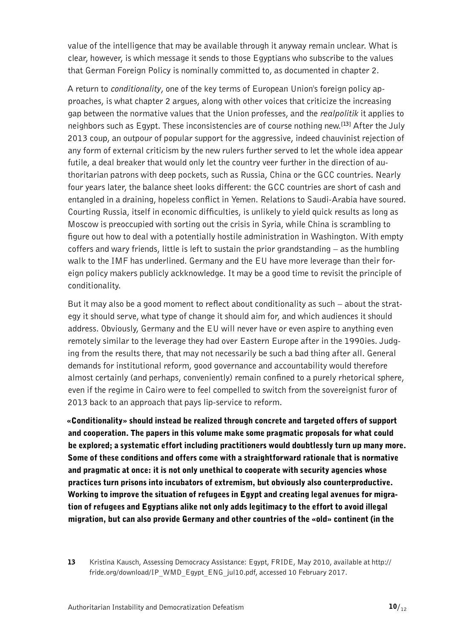value of the intelligence that may be available through it anyway remain unclear. What is clear, however, is which message it sends to those Egyptians who subscribe to the values that German Foreign Policy is nominally committed to, as documented in chapter 2.

A return to *conditionality*, one of the key terms of European Union's foreign policy approaches, is what chapter 2 argues, along with other voices that criticize the increasing gap between the normative values that the Union professes, and the *realpolitik* it applies to neighbors such as Egypt. These inconsistencies are of course nothing new.**[13]** After the July 2013 coup, an outpour of popular support for the aggressive, indeed chauvinist rejection of any form of external criticism by the new rulers further served to let the whole idea appear futile, a deal breaker that would only let the country veer further in the direction of authoritarian patrons with deep pockets, such as Russia, China or the GCC countries. Nearly four years later, the balance sheet looks different: the GCC countries are short of cash and entangled in a draining, hopeless conflict in Yemen. Relations to Saudi-Arabia have soured. Courting Russia, itself in economic difficulties, is unlikely to yield quick results as long as Moscow is preoccupied with sorting out the crisis in Syria, while China is scrambling to figure out how to deal with a potentially hostile administration in Washington. With empty coffers and wary friends, little is left to sustain the prior grandstanding – as the humbling walk to the IMF has underlined. Germany and the EU have more leverage than their foreign policy makers publicly ackknowledge. It may be a good time to revisit the principle of conditionality.

But it may also be a good moment to reflect about conditionality as such – about the strategy it should serve, what type of change it should aim for, and which audiences it should address. Obviously, Germany and the EU will never have or even aspire to anything even remotely similar to the leverage they had over Eastern Europe after in the 1990ies. Judging from the results there, that may not necessarily be such a bad thing after all. General demands for institutional reform, good governance and accountability would therefore almost certainly (and perhaps, conveniently) remain confined to a purely rhetorical sphere, even if the regime in Cairo were to feel compelled to switch from the sovereignist furor of 2013 back to an approach that pays lip-service to reform.

«Conditionality» should instead be realized through concrete and targeted offers of support and cooperation. The papers in this volume make some pragmatic proposals for what could be explored; a systematic effort including practitioners would doubtlessly turn up many more. Some of these conditions and offers come with a straightforward rationale that is normative and pragmatic at once: it is not only unethical to cooperate with security agencies whose practices turn prisons into incubators of extremism, but obviously also counterproductive. Working to improve the situation of refugees in Egypt and creating legal avenues for migration of refugees and Egyptians alike not only adds legitimacy to the effort to avoid illegal migration, but can also provide Germany and other countries of the «old» continent (in the

<sup>13</sup> Kristina Kausch, Assessing Democracy Assistance: Egypt, FRIDE, May 2010, available at [http://](http://fride.org/download/IP_WMD_Egypt_ENG_jul10.pdf) [fride.org/download/IP\\_WMD\\_Egypt\\_ENG\\_jul10.pdf,](http://fride.org/download/IP_WMD_Egypt_ENG_jul10.pdf) accessed 10 February 2017.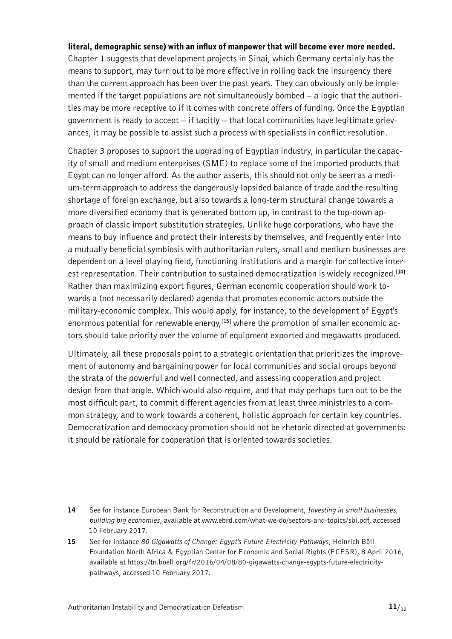#### literal, demographic sense) with an influx of manpower that will become ever more needed.

Chapter 1 suggests that development projects in Sinai, which Germany certainly has the means to support, may turn out to be more effective in rolling back the insurgency there than the current approach has been over the past years. They can obviously only be implemented if the target populations are not simultaneously bombed – a logic that the authorities may be more receptive to if it comes with concrete offers of funding. Once the Egyptian government is ready to accept – if tacitly – that local communities have legitimate grievances, it may be possible to assist such a process with specialists in conflict resolution.

Chapter 3 proposes to support the upgrading of Egyptian industry, in particular the capacity of small and medium enterprises (SME) to replace some of the imported products that Egypt can no longer afford. As the author asserts, this should not only be seen as a medium-term approach to address the dangerously lopsided balance of trade and the resulting shortage of foreign exchange, but also towards a long-term structural change towards a more diversified economy that is generated bottom up, in contrast to the top-down approach of classic import substitution strategies. Unlike huge corporations, who have the means to buy influence and protect their interests by themselves, and frequently enter into a mutually beneficial symbiosis with authoritarian rulers, small and medium businesses are dependent on a level playing field, functioning institutions and a margin for collective interest representation. Their contribution to sustained democratization is widely recognized.**[14]** Rather than maximizing export figures, German economic cooperation should work towards a (not necessarily declared) agenda that promotes economic actors outside the military-economic complex. This would apply, for instance, to the development of Egypt's enormous potential for renewable energy,**[15]** where the promotion of smaller economic actors should take priority over the volume of equipment exported and megawatts produced.

Ultimately, all these proposals point to a strategic orientation that prioritizes the improvement of autonomy and bargaining power for local communities and social groups beyond the strata of the powerful and well connected, and assessing cooperation and project design from that angle. Which would also require, and that may perhaps turn out to be the most difficult part, to commit different agencies from at least three ministries to a common strategy, and to work towards a coherent, holistic approach for certain key countries. Democratization and democracy promotion should not be rhetoric directed at governments: it should be rationale for cooperation that is oriented towards societies.

15 See for instance *80 Gigawatts of Change: Egypt's Future Electricity Pathways*, Heinrich Böll Foundation North Africa & Egyptian Center for Economic and Social Rights (ECESR), 8 April 2016, available at [https://tn.boell.org/fr/2016/04/08/80-gigawatts-change-egypts-future-electricity](https://tn.boell.org/fr/2016/04/08/80-gigawatts-change-egypts-future-electricity-pathways)[pathways,](https://tn.boell.org/fr/2016/04/08/80-gigawatts-change-egypts-future-electricity-pathways) accessed 10 February 2017.

<sup>14</sup> See for instance European Bank for Reconstruction and Development, *Investing in small businesses, building big economies*, available at [www.ebrd.com/what-we-do/sectors-and-topics/sbi.pdf](http://www.ebrd.com/what-we-do/sectors-and-topics/sbi.pdf), accessed 10 February 2017.